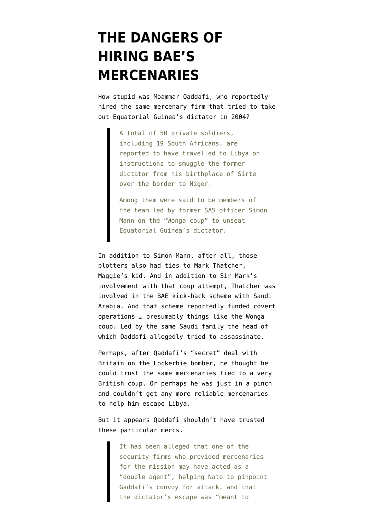## **[THE DANGERS OF](https://www.emptywheel.net/2011/11/04/the-dangers-of-hiring-baes-mercenaries/) [HIRING BAE'S](https://www.emptywheel.net/2011/11/04/the-dangers-of-hiring-baes-mercenaries/) [MERCENARIES](https://www.emptywheel.net/2011/11/04/the-dangers-of-hiring-baes-mercenaries/)**

How stupid was Moammar Qaddafi, who [reportedly](http://www.telegraph.co.uk/news/worldnews/africaandindianocean/libya/8865403/South-African-intelligence-investigates-role-of-British-company-in-Col-Gaddafis-attempt-to-flee-Sirte.html) hired the same mercenary firm that tried to take out Equatorial Guinea's dictator in 2004?

> A total of 50 private soldiers, including 19 South Africans, are reported to have travelled to Libya on instructions to smuggle the former dictator from his birthplace of Sirte over the border to Niger.

Among them were said to be members of the team led by former SAS officer Simon Mann on the "Wonga coup" to unseat Equatorial Guinea's dictator.

In addition to Simon Mann, after all, those plotters also had [ties to Mark Thatcher,](http://news.bbc.co.uk/2/hi/africa/4169557.stm) Maggie's kid. And in addition to Sir Mark's involvement with that coup attempt, Thatcher was involved in the BAE kick-back scheme with Saudi Arabia. And that [scheme](http://www.emptywheel.net/2008/05/23/the-bae-bribes-funded-covert-ops/) reportedly funded covert operations … presumably things like the Wonga coup. Led by the same Saudi family the head of which Qaddafi [allegedly tried to assassinate](http://www.emptywheel.net/2011/10/22/the-other-saudi-assassination-plotter-got-a-reduced-sentence-in-july/).

Perhaps, after Qaddafi's "secret" deal with Britain on the Lockerbie bomber, he thought he could trust the same mercenaries tied to a very British coup. Or perhaps he was just in a pinch and couldn't get any more reliable mercenaries to help him escape Libya.

But it appears Qaddafi shouldn't have trusted these particular mercs.

> It has been alleged that one of the security firms who provided mercenaries for the mission may have acted as a "double agent", helping Nato to pinpoint Gaddafi's convoy for attack, and that the dictator's escape was "meant to